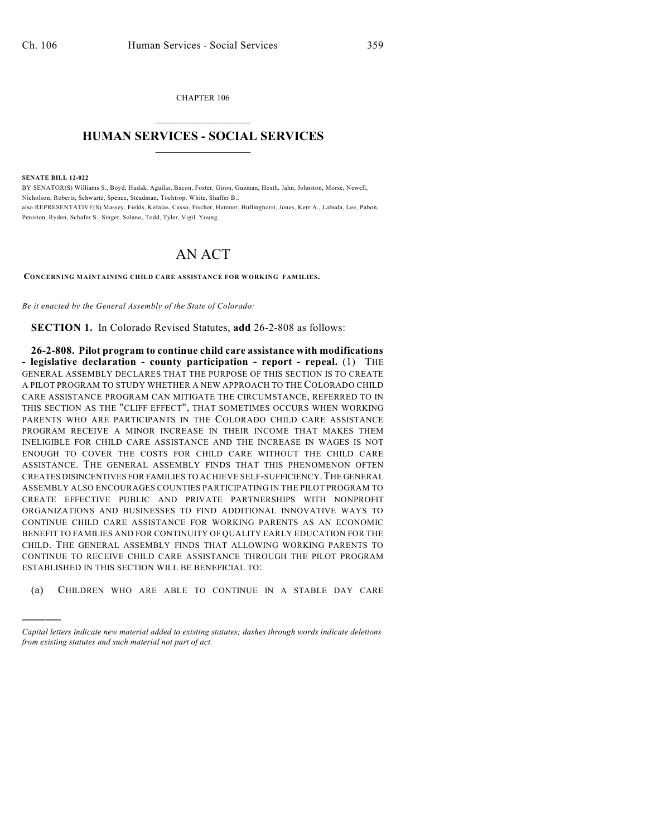CHAPTER 106  $\mathcal{L}_\text{max}$  . The set of the set of the set of the set of the set of the set of the set of the set of the set of the set of the set of the set of the set of the set of the set of the set of the set of the set of the set

## **HUMAN SERVICES - SOCIAL SERVICES**  $\frac{1}{2}$  ,  $\frac{1}{2}$  ,  $\frac{1}{2}$  ,  $\frac{1}{2}$  ,  $\frac{1}{2}$  ,  $\frac{1}{2}$

**SENATE BILL 12-022**

)))))

BY SENATOR(S) Williams S., Boyd, Hudak, Aguilar, Bacon, Foster, Giron, Guzman, Heath, Jahn, Johnston, Morse, Newell, Nicholson, Roberts, Schwartz, Spence, Steadman, Tochtrop, White, Shaffer B.; also REPRESENTATIVE(S) Massey, Fields, Kefalas, Casso, Fischer, Hamner, Hullinghorst, Jones, Kerr A., Labuda, Lee, Pabon, Peniston, Ryden, Schafer S., Singer, Solano, Todd, Tyler, Vigil, Young.

## AN ACT

**CONCERNING MAINTAINING CHILD CARE ASSISTANCE FOR WORKING FAMILIES.**

*Be it enacted by the General Assembly of the State of Colorado:*

**SECTION 1.** In Colorado Revised Statutes, **add** 26-2-808 as follows:

**26-2-808. Pilot program to continue child care assistance with modifications - legislative declaration - county participation - report - repeal.** (1) THE GENERAL ASSEMBLY DECLARES THAT THE PURPOSE OF THIS SECTION IS TO CREATE A PILOT PROGRAM TO STUDY WHETHER A NEW APPROACH TO THE COLORADO CHILD CARE ASSISTANCE PROGRAM CAN MITIGATE THE CIRCUMSTANCE, REFERRED TO IN THIS SECTION AS THE "CLIFF EFFECT", THAT SOMETIMES OCCURS WHEN WORKING PARENTS WHO ARE PARTICIPANTS IN THE COLORADO CHILD CARE ASSISTANCE PROGRAM RECEIVE A MINOR INCREASE IN THEIR INCOME THAT MAKES THEM INELIGIBLE FOR CHILD CARE ASSISTANCE AND THE INCREASE IN WAGES IS NOT ENOUGH TO COVER THE COSTS FOR CHILD CARE WITHOUT THE CHILD CARE ASSISTANCE. THE GENERAL ASSEMBLY FINDS THAT THIS PHENOMENON OFTEN CREATES DISINCENTIVES FOR FAMILIES TO ACHIEVE SELF-SUFFICIENCY.THE GENERAL ASSEMBLY ALSO ENCOURAGES COUNTIES PARTICIPATING IN THE PILOT PROGRAM TO CREATE EFFECTIVE PUBLIC AND PRIVATE PARTNERSHIPS WITH NONPROFIT ORGANIZATIONS AND BUSINESSES TO FIND ADDITIONAL INNOVATIVE WAYS TO CONTINUE CHILD CARE ASSISTANCE FOR WORKING PARENTS AS AN ECONOMIC BENEFIT TO FAMILIES AND FOR CONTINUITY OF QUALITY EARLY EDUCATION FOR THE CHILD. THE GENERAL ASSEMBLY FINDS THAT ALLOWING WORKING PARENTS TO CONTINUE TO RECEIVE CHILD CARE ASSISTANCE THROUGH THE PILOT PROGRAM ESTABLISHED IN THIS SECTION WILL BE BENEFICIAL TO:

(a) CHILDREN WHO ARE ABLE TO CONTINUE IN A STABLE DAY CARE

*Capital letters indicate new material added to existing statutes; dashes through words indicate deletions from existing statutes and such material not part of act.*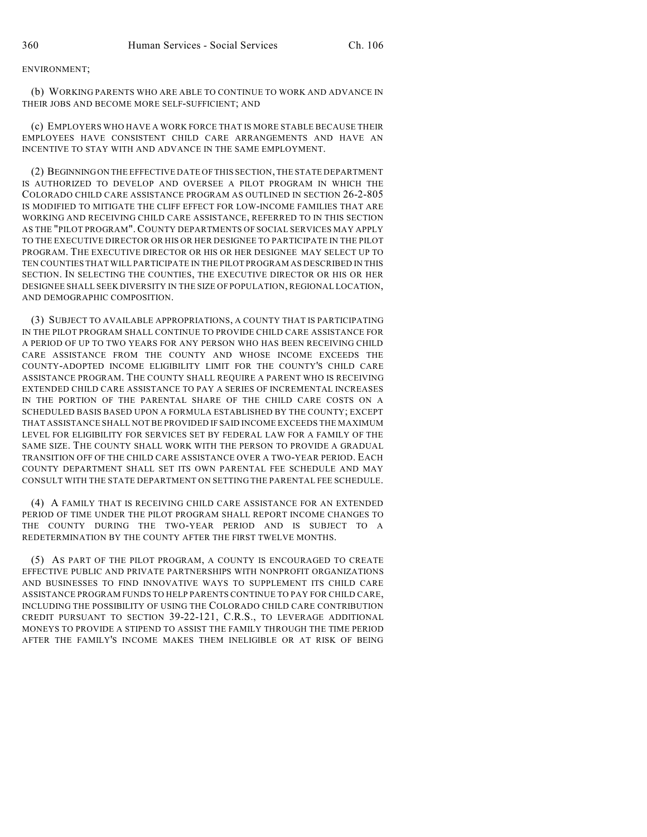## ENVIRONMENT;

(b) WORKING PARENTS WHO ARE ABLE TO CONTINUE TO WORK AND ADVANCE IN THEIR JOBS AND BECOME MORE SELF-SUFFICIENT; AND

(c) EMPLOYERS WHO HAVE A WORK FORCE THAT IS MORE STABLE BECAUSE THEIR EMPLOYEES HAVE CONSISTENT CHILD CARE ARRANGEMENTS AND HAVE AN INCENTIVE TO STAY WITH AND ADVANCE IN THE SAME EMPLOYMENT.

(2) BEGINNINGON THE EFFECTIVE DATE OF THIS SECTION, THE STATE DEPARTMENT IS AUTHORIZED TO DEVELOP AND OVERSEE A PILOT PROGRAM IN WHICH THE COLORADO CHILD CARE ASSISTANCE PROGRAM AS OUTLINED IN SECTION 26-2-805 IS MODIFIED TO MITIGATE THE CLIFF EFFECT FOR LOW-INCOME FAMILIES THAT ARE WORKING AND RECEIVING CHILD CARE ASSISTANCE, REFERRED TO IN THIS SECTION AS THE "PILOT PROGRAM". COUNTY DEPARTMENTS OF SOCIAL SERVICES MAY APPLY TO THE EXECUTIVE DIRECTOR OR HIS OR HER DESIGNEE TO PARTICIPATE IN THE PILOT PROGRAM. THE EXECUTIVE DIRECTOR OR HIS OR HER DESIGNEE MAY SELECT UP TO TEN COUNTIES THAT WILL PARTICIPATE IN THE PILOT PROGRAM AS DESCRIBED IN THIS SECTION. IN SELECTING THE COUNTIES, THE EXECUTIVE DIRECTOR OR HIS OR HER DESIGNEE SHALL SEEK DIVERSITY IN THE SIZE OF POPULATION, REGIONAL LOCATION, AND DEMOGRAPHIC COMPOSITION.

(3) SUBJECT TO AVAILABLE APPROPRIATIONS, A COUNTY THAT IS PARTICIPATING IN THE PILOT PROGRAM SHALL CONTINUE TO PROVIDE CHILD CARE ASSISTANCE FOR A PERIOD OF UP TO TWO YEARS FOR ANY PERSON WHO HAS BEEN RECEIVING CHILD CARE ASSISTANCE FROM THE COUNTY AND WHOSE INCOME EXCEEDS THE COUNTY-ADOPTED INCOME ELIGIBILITY LIMIT FOR THE COUNTY'S CHILD CARE ASSISTANCE PROGRAM. THE COUNTY SHALL REQUIRE A PARENT WHO IS RECEIVING EXTENDED CHILD CARE ASSISTANCE TO PAY A SERIES OF INCREMENTAL INCREASES IN THE PORTION OF THE PARENTAL SHARE OF THE CHILD CARE COSTS ON A SCHEDULED BASIS BASED UPON A FORMULA ESTABLISHED BY THE COUNTY; EXCEPT THAT ASSISTANCE SHALL NOT BE PROVIDED IF SAID INCOME EXCEEDS THE MAXIMUM LEVEL FOR ELIGIBILITY FOR SERVICES SET BY FEDERAL LAW FOR A FAMILY OF THE SAME SIZE. THE COUNTY SHALL WORK WITH THE PERSON TO PROVIDE A GRADUAL TRANSITION OFF OF THE CHILD CARE ASSISTANCE OVER A TWO-YEAR PERIOD. EACH COUNTY DEPARTMENT SHALL SET ITS OWN PARENTAL FEE SCHEDULE AND MAY CONSULT WITH THE STATE DEPARTMENT ON SETTING THE PARENTAL FEE SCHEDULE.

(4) A FAMILY THAT IS RECEIVING CHILD CARE ASSISTANCE FOR AN EXTENDED PERIOD OF TIME UNDER THE PILOT PROGRAM SHALL REPORT INCOME CHANGES TO THE COUNTY DURING THE TWO-YEAR PERIOD AND IS SUBJECT TO A REDETERMINATION BY THE COUNTY AFTER THE FIRST TWELVE MONTHS.

(5) AS PART OF THE PILOT PROGRAM, A COUNTY IS ENCOURAGED TO CREATE EFFECTIVE PUBLIC AND PRIVATE PARTNERSHIPS WITH NONPROFIT ORGANIZATIONS AND BUSINESSES TO FIND INNOVATIVE WAYS TO SUPPLEMENT ITS CHILD CARE ASSISTANCE PROGRAM FUNDS TO HELP PARENTS CONTINUE TO PAY FOR CHILD CARE, INCLUDING THE POSSIBILITY OF USING THE COLORADO CHILD CARE CONTRIBUTION CREDIT PURSUANT TO SECTION 39-22-121, C.R.S., TO LEVERAGE ADDITIONAL MONEYS TO PROVIDE A STIPEND TO ASSIST THE FAMILY THROUGH THE TIME PERIOD AFTER THE FAMILY'S INCOME MAKES THEM INELIGIBLE OR AT RISK OF BEING